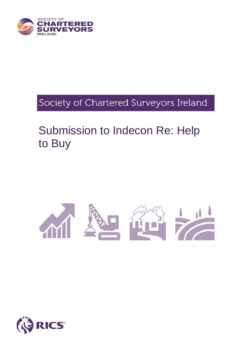

# Society of Chartered Surveyors Ireland

# Submission to Indecon Re: Help to Buy



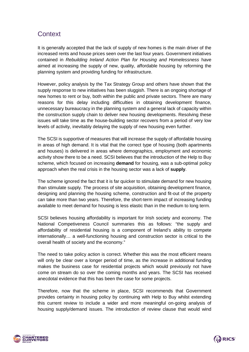## **Context**

It is generally accepted that the lack of supply of new homes is the main driver of the increased rents and house prices seen over the last four years. Government initiatives contained in *Rebuilding Ireland Action Plan for Housing and Homelessness* have aimed at increasing the supply of new, quality, affordable housing by reforming the planning system and providing funding for infrastructure.

However, policy analysis by the Tax Strategy Group and others have shown that the supply response to new initiatives has been sluggish. There is an ongoing shortage of new homes to rent or buy, both within the public and private sectors. There are many reasons for this delay including difficulties in obtaining development finance, unnecessary bureaucracy in the planning system and a general lack of capacity within the construction supply chain to deliver new housing developments. Resolving these issues will take time as the house-building sector recovers from a period of very low levels of activity, inevitably delaying the supply of new housing even further.

The SCSI is supportive of measures that will increase the supply of affordable housing in areas of high demand. It is vital that the correct type of housing (both apartments and houses) is delivered in areas where demographics, employment and economic activity show there to be a need. SCSI believes that the introduction of the Help to Buy scheme, which focused on increasing **demand** for housing, was a sub-optimal policy approach when the real crisis in the housing sector was a lack of **supply**.

The scheme ignored the fact that it is far quicker to stimulate demand for new housing than stimulate supply. The process of site acquisition, obtaining development finance, designing and planning the housing scheme, construction and fit-out of the property can take more than two years. Therefore, the short-term impact of increasing funding available to meet demand for housing is less elastic than in the medium to long term.

SCSI believes housing affordability is important for Irish society and economy. The National Competiveness Council summaries this as follows: "the supply and affordability of residential housing is a component of Ireland's ability to compete internationally… a well-functioning housing and construction sector is critical to the overall health of society and the economy."

The need to take policy action is correct. Whether this was the most efficient means will only be clear over a longer period of time, as the increase in additional funding makes the business case for residential projects which would previously not have come on stream do so over the coming months and years. The SCSI has received anecdotal evidence that this has been the case for some projects.

Therefore, now that the scheme in place, SCSI recommends that Government provides certainty in housing policy by continuing with Help to Buy whilst extending this current review to include a wider and more meaningful on-going analysis of housing supply/demand issues. The introduction of review clause that would wind



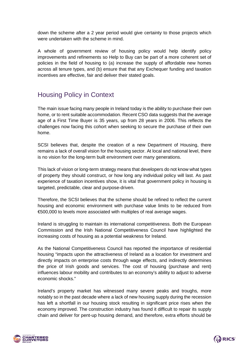down the scheme after a 2 year period would give certainty to those projects which were undertaken with the scheme in mind.

A whole of government review of housing policy would help identify policy improvements and refinements so Help to Buy can be part of a more coherent set of policies in the field of housing to (a) increase the supply of affordable new homes across all tenure types, and (b) ensure that that any Exchequer funding and taxation incentives are effective, fair and deliver their stated goals.

# Housing Policy in Context

The main issue facing many people in Ireland today is the ability to purchase their own home, or to rent suitable accommodation. Recent CSO data suggests that the average age of a First Time Buyer is 35 years, up from 28 years in 2006. This reflects the challenges now facing this cohort when seeking to secure the purchase of their own home.

SCSI believes that, despite the creation of a new Department of Housing, there remains a lack of overall vision for the housing sector. At local and national level, there is no vision for the long-term built environment over many generations.

This lack of vision or long-term strategy means that developers do not know what types of property they should construct, or how long any individual policy will last. As past experience of taxation incentives show, it is vital that government policy in housing is targeted, predictable, clear and purpose-driven.

Therefore, the SCSI believes that the scheme should be refined to reflect the current housing and economic environment with purchase value limits to be reduced from €500,000 to levels more associated with multiples of real average wages.

Ireland is struggling to maintain its international competitiveness. Both the European Commission and the Irish National Competitiveness Council have highlighted the increasing costs of housing as a potential weakness for Ireland.

As the National Competitiveness Council has reported the importance of residential housing "impacts upon the attractiveness of Ireland as a location for investment and directly impacts on enterprise costs through wage effects, and indirectly determines the price of Irish goods and services. The cost of housing (purchase and rent) influences labour mobility and contributes to an economy's ability to adjust to adverse economic shocks."

Ireland's property market has witnessed many severe peaks and troughs, more notably so in the past decade where a lack of new housing supply during the recession has left a shortfall in our housing stock resulting in significant price rises when the economy improved. The construction industry has found it difficult to repair its supply chain and deliver for pent-up housing demand, and therefore, extra efforts should be



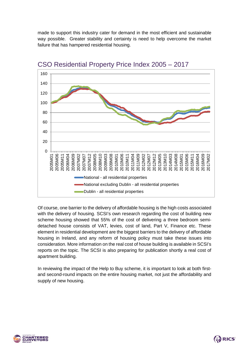made to support this industry cater for demand in the most efficient and sustainable way possible. Greater stability and certainty is need to help overcome the market failure that has hampered residential housing.



#### CSO Residential Property Price Index 2005 – 2017

Of course, one barrier to the delivery of affordable housing is the high costs associated with the delivery of housing. SCSI's own research regarding the cost of building new scheme housing showed that 55% of the cost of delivering a three bedroom semidetached house consists of VAT, levies, cost of land, Part V, Finance etc. These element in residential development are the biggest barriers to the delivery of affordable housing in Ireland, and any reform of housing policy must take these issues into consideration. More information on the real cost of house building is available in SCSI's reports on the topic. The SCSI is also preparing for publication shortly a real cost of apartment building.

In reviewing the impact of the Help to Buy scheme, it is important to look at both firstand second-round impacts on the entire housing market, not just the affordability and supply of new housing.



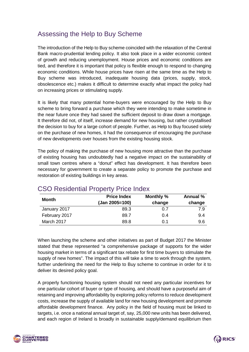# Assessing the Help to Buy Scheme

The introduction of the Help to Buy scheme coincided with the relaxation of the Central Bank macro-prudential lending policy. It also took place in a wider economic context of growth and reducing unemployment. House prices and economic conditions are tied, and therefore it is important that policy is flexible enough to respond to changing economic conditions. While house prices have risen at the same time as the Help to Buy scheme was introduced, inadequate housing data (prices, supply, stock, obsolescence etc.) makes it difficult to determine exactly what impact the policy had on increasing prices or stimulating supply.

It is likely that many potential home-buyers were encouraged by the Help to Buy scheme to bring forward a purchase which they were intending to make sometime in the near future once they had saved the sufficient deposit to draw down a mortgage. It therefore did not, of itself, increase demand for new housing, but rather crystallised the decision to buy for a large cohort of people. Further, as Help to Buy focused solely on the purchase of new homes, it had the consequence of encouraging the purchase of new developments over houses from the existing housing stock.

The policy of making the purchase of new housing more attractive than the purchase of existing housing has undoubtedly had a negative impact on the sustainability of small town centres where a "donut" effect has development. It has therefore been necessary for government to create a separate policy to promote the purchase and restoration of existing buildings in key areas.

| Month         | <b>Price Index</b> | Monthly % | Annual % |
|---------------|--------------------|-----------|----------|
|               | (Jan 2005=100)     | change    | change   |
| January 2017  | 89.3               | 0.7       | 7.9      |
| February 2017 | 89.7               | 0.4       | 9.4      |
| March 2017    | 89.8               | 0.1       | 9.6      |

## CSO Residential Property Price Index

When launching the scheme and other initiatives as part of Budget 2017 the Minister stated that these represented "a comprehensive package of supports for the wider housing market in terms of a significant tax rebate for first time buyers to stimulate the supply of new homes". The impact of this will take a time to work through the system, further underlining the need for the Help to Buy scheme to continue in order for it to deliver its desired policy goal.

A properly functioning housing system should not need any particular incentives for one particular cohort of buyer or type of housing, and should have a purposeful aim of retaining and improving affordability by exploring policy reforms to reduce development costs, increase the supply of available land for new housing development and promote affordable development finance. Any policy in the field of housing must be linked to targets, i.e. once a national annual target of, say, 25,000 new units has been delivered, and each region of Ireland is broadly in sustainable supply/demand equilibrium then



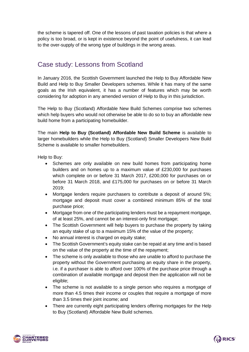the scheme is tapered off. One of the lessons of past taxation policies is that where a policy is too broad, or is kept in existence beyond the point of usefulness, it can lead to the over-supply of the wrong type of buildings in the wrong areas.

# Case study: Lessons from Scotland

In January 2016, the Scottish Government launched the Help to Buy Affordable New Build and Help to Buy Smaller Developers schemes. While it has many of the same goals as the Irish equivalent, it has a number of features which may be worth considering for adoption in any amended version of Help to Buy in this jurisdiction.

The Help to Buy (Scotland) Affordable New Build Schemes comprise two schemes which help buyers who would not otherwise be able to do so to buy an affordable new build home from a participating homebuilder.

The main **Help to Buy (Scotland) Affordable New Build Scheme** is available to larger homebuilders while the Help to Buy (Scotland) Smaller Developers New Build Scheme is available to smaller homebuilders.

Help to Buy:

- Schemes are only available on new build homes from participating home builders and on homes up to a maximum value of £230,000 for purchases which complete on or before 31 March 2017, £200,000 for purchases on or before 31 March 2018, and £175,000 for purchases on or before 31 March 2019;
- Mortgage lenders require purchasers to contribute a deposit of around 5%; mortgage and deposit must cover a combined minimum 85% of the total purchase price;
- Mortgage from one of the participating lenders must be a repayment mortgage, of at least 25%, and cannot be an interest-only first mortgage;
- The Scottish Government will help buyers to purchase the property by taking an equity stake of up to a maximum 15% of the value of the property;
- No annual interest is charged on equity stake;
- The Scottish Government's equity stake can be repaid at any time and is based on the value of the property at the time of the repayment;
- The scheme is only available to those who are unable to afford to purchase the property without the Government purchasing an equity share in the property, i.e. if a purchaser is able to afford over 100% of the purchase price through a combination of available mortgage and deposit then the application will not be eligible;
- The scheme is not available to a single person who requires a mortgage of more than 4.5 times their income or couples that require a mortgage of more than 3.5 times their joint income; and
- There are currently eight participating lenders offering mortgages for the Help to Buy (Scotland) Affordable New Build schemes.